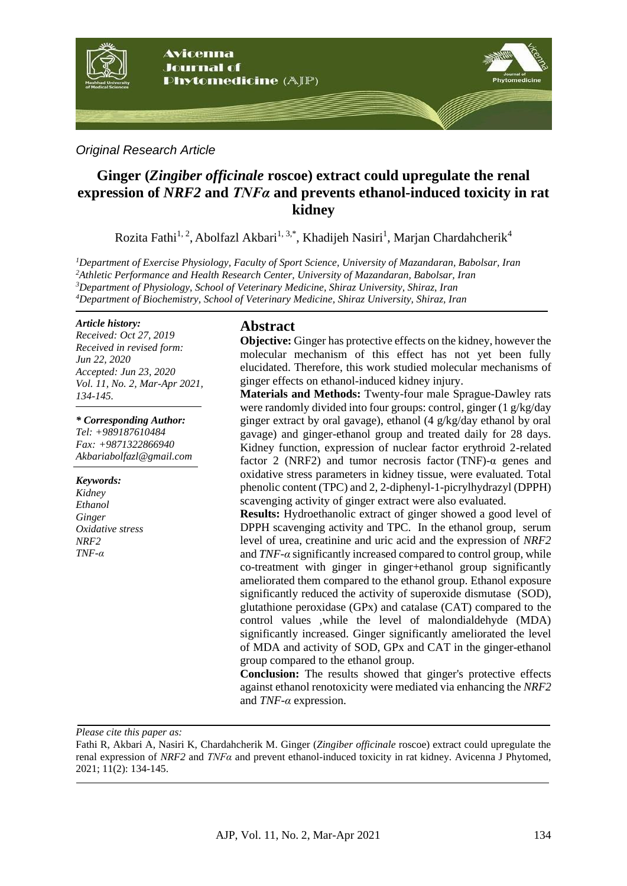

# *Original Research Article*

# **Ginger (***Zingiber officinale* **roscoe) extract could upregulate the renal expression of** *NRF2* **and** *TNFα* **and prevents ethanol-induced toxicity in rat kidney**

Rozita Fathi<sup>1, 2</sup>, Abolfazl Akbari<sup>1, 3,\*</sup>, Khadijeh Nasiri<sup>1</sup>, Marjan Chardahcherik<sup>4</sup>

*Department of Exercise Physiology, Faculty of Sport Science, University of Mazandaran, Babolsar, Iran Athletic Performance and Health Research Center, University of Mazandaran, Babolsar, Iran Department of Physiology, School of Veterinary Medicine, Shiraz University, Shiraz, Iran Department of Biochemistry, School of Veterinary Medicine, Shiraz University, Shiraz, Iran*

#### *Article history:*

*Received: Oct 27, 2019 Received in revised form: Jun 22, 2020 Accepted: Jun 23, 2020 Vol. 11, No. 2, Mar-Apr 2021, 134-145.*

#### *\* Corresponding Author:*

*Tel: +989187610484 Fax: +9871322866940 Akbariabolfazl@gmail.com*

#### *Keywords:*

*Kidney Ethanol Ginger Oxidative stress NRF2 TNF-α*

# **Abstract**

**Objective:** Ginger has protective effects on the kidney, however the molecular mechanism of this effect has not yet been fully elucidated. Therefore, this work studied molecular mechanisms of ginger effects on ethanol-induced kidney injury.

**Materials and Methods:** Twenty-four male Sprague-Dawley rats were randomly divided into four groups: control, ginger (1 g/kg/day ginger extract by oral gavage), ethanol (4 g/kg/day ethanol by oral gavage) and ginger-ethanol group and treated daily for 28 days. Kidney function, expression of nuclear factor erythroid 2-related factor 2 (NRF2) and tumor necrosis factor (TNF)- $\alpha$  genes and oxidative stress parameters in kidney tissue, were evaluated. Total phenolic content (TPC) and 2, 2-diphenyl-1-picrylhydrazyl (DPPH) scavenging activity of ginger extract were also evaluated.

**Results:** Hydroethanolic extract of ginger showed a good level of DPPH scavenging activity and TPC. In the ethanol group, serum level of urea, creatinine and uric acid and the expression of *NRF2* and *TNF-α* significantly increased compared to control group, while co-treatment with ginger in ginger+ethanol group significantly ameliorated them compared to the ethanol group. Ethanol exposure significantly reduced the activity of superoxide dismutase (SOD), glutathione peroxidase (GPx) and catalase (CAT) compared to the control values ,while the level of malondialdehyde (MDA) significantly increased. Ginger significantly ameliorated the level of MDA and activity of SOD, GPx and CAT in the ginger-ethanol group compared to the ethanol group.

**Conclusion:** The results showed that ginger's protective effects against ethanol renotoxicity were mediated via enhancing the *NRF2* and *TNF-α* expression.

*Please cite this paper as:* 

Fathi R, Akbari A, Nasiri K, Chardahcherik M. Ginger (*Zingiber officinale* roscoe) extract could upregulate the renal expression of *NRF2* and *TNFα* and prevent ethanol-induced toxicity in rat kidney. Avicenna J Phytomed, 2021; 11(2): 134-145.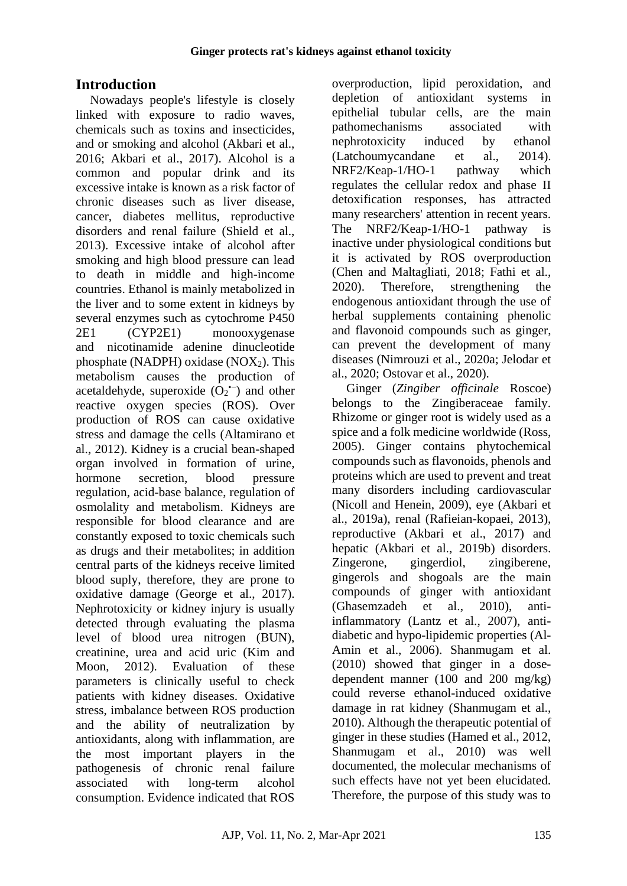# **Introduction**

Nowadays people's lifestyle is closely linked with exposure to radio waves, chemicals such as toxins and insecticides, and or smoking and alcohol [\(Akbari et al.,](#page-8-0)  [2016;](#page-8-0) [Akbari et al., 2017\)](#page-9-0). Alcohol is a common and popular drink and its excessive intake is known as a risk factor of chronic diseases such as liver disease, cancer, diabetes mellitus, reproductive disorders and renal failure [\(Shield et al.,](#page-11-0)  [2013\)](#page-11-0). Excessive intake of alcohol after smoking and high blood pressure can lead to death in middle and high-income countries. Ethanol is mainly metabolized in the liver and to some extent in kidneys by several enzymes such as cytochrome P450 2E1 (CYP2E1) monooxygenase and nicotinamide adenine dinucleotide phosphate (NADPH) oxidase (NOX $_2$ ). This metabolism causes the production of acetaldehyde, superoxide  $(O_2^{\bullet -})$  and other reactive oxygen species (ROS). Over production of ROS can cause oxidative stress and damage the cells [\(Altamirano et](#page-9-1)  [al., 2012\)](#page-9-1). Kidney is a crucial bean-shaped organ involved in formation of urine, hormone secretion, blood pressure regulation, acid-base balance, regulation of osmolality and metabolism. Kidneys are responsible for blood clearance and are constantly exposed to toxic chemicals such as drugs and their metabolites; in addition central parts of the kidneys receive limited blood suply, therefore, they are prone to oxidative damage [\(George et al., 2017\)](#page-9-2). Nephrotoxicity or kidney injury is usually detected through evaluating the plasma level of blood urea nitrogen (BUN), creatinine, urea and acid uric [\(Kim and](#page-10-0)  [Moon, 2012\)](#page-10-0). Evaluation of these parameters is clinically useful to check patients with kidney diseases. Oxidative stress, imbalance between ROS production and the ability of neutralization by antioxidants, along with inflammation, are the most important players in the pathogenesis of chronic renal failure associated with long-term alcohol consumption. Evidence indicated that ROS

overproduction, lipid peroxidation, and depletion of antioxidant systems in epithelial tubular cells, are the main pathomechanisms associated with nephrotoxicity induced by ethanol [\(Latchoumycandane et al., 2014\)](#page-10-1). NRF2/Keap-1/HO-1 pathway which regulates the cellular redox and phase II detoxification responses, has attracted many researchers' attention in recent years. The NRF2/Keap-1/HO-1 pathway is inactive under physiological conditions but it is activated by ROS overproduction [\(Chen and Maltagliati, 2018;](#page-9-3) Fathi et al., 2020). Therefore, strengthening the endogenous antioxidant through the use of herbal supplements containing phenolic and flavonoid compounds such as ginger, can prevent the development of many diseases [\(Nimrouzi et al., 2020a](#page-11-1); [Jelodar et](#page-10-2)  [al., 2020;](#page-10-2) [Ostovar et al., 2020\)](#page-11-2).

Ginger (*Zingiber officinale* Roscoe) belongs to the Zingiberaceae family. Rhizome or ginger root is widely used as a spice and a folk medicine worldwide [\(Ross,](#page-11-3)  [2005\)](#page-11-3). Ginger contains phytochemical compounds such as flavonoids, phenols and proteins which are used to prevent and treat many disorders including cardiovascular [\(Nicoll and Henein, 2009\)](#page-10-3), eye [\(Akbari et](#page-8-1)  [al., 2019a\)](#page-8-1), renal [\(Rafieian-kopaei, 2013\)](#page-11-4), reproductive [\(Akbari et al., 2017\)](#page-9-0) and hepatic [\(Akbari et al., 2019b\)](#page-9-4) disorders. Zingerone, gingerdiol, zingiberene, gingerols and shogoals are the main compounds of ginger with antioxidant [\(Ghasemzadeh et al., 2010\)](#page-9-5), antiinflammatory [\(Lantz et al., 2007\)](#page-10-4), antidiabetic and hypo-lipidemic properties [\(Al-](#page-9-6)[Amin et al., 2006\)](#page-9-6). Shanmugam et al. (2010) showed that ginger in a dosedependent manner (100 and 200 mg/kg) could reverse ethanol-induced oxidative damage in rat kidney [\(Shanmugam et al.,](#page-11-5)  [2010\)](#page-11-5). Although the therapeutic potential of ginger in these studies [\(Hamed et al., 2012,](#page-9-7) [Shanmugam et al., 2010\)](#page-11-5) was well documented, the molecular mechanisms of such effects have not yet been elucidated. Therefore, the purpose of this study was to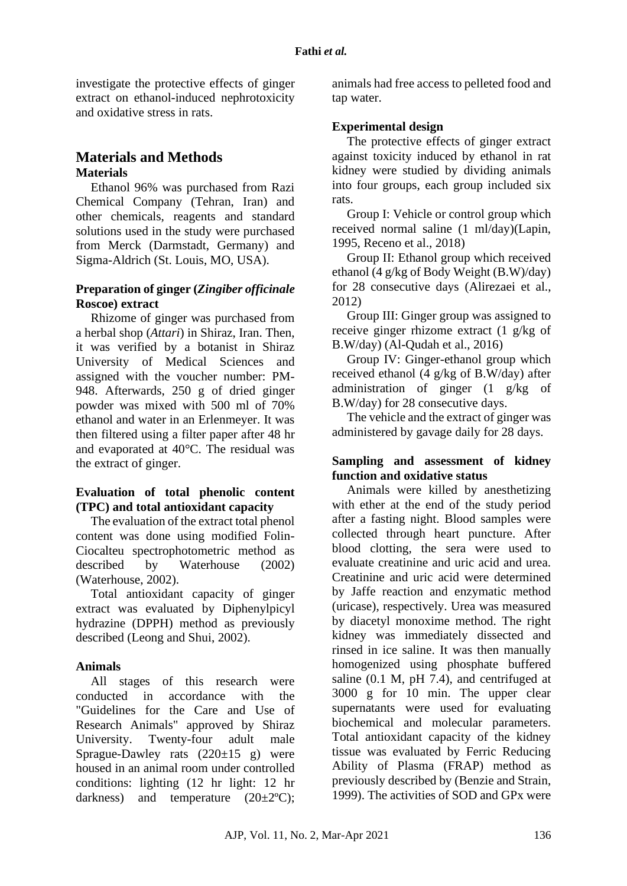investigate the protective effects of ginger extract on ethanol-induced nephrotoxicity and oxidative stress in rats.

# **Materials and Methods Materials**

Ethanol 96% was purchased from Razi Chemical Company (Tehran, Iran) and other chemicals, reagents and standard solutions used in the study were purchased from Merck (Darmstadt, Germany) and Sigma-Aldrich (St. Louis, MO, USA).

## **Preparation of ginger (***Zingiber officinale*  **Roscoe) extract**

Rhizome of ginger was purchased from a herbal shop (*Attari*) in Shiraz, Iran. Then, it was verified by a botanist in Shiraz University of Medical Sciences and assigned with the voucher number: PM-948. Afterwards, 250 g of dried ginger powder was mixed with 500 ml of 70% ethanol and water in an Erlenmeyer. It was then filtered using a filter paper after 48 hr and evaporated at 40°C. The residual was the extract of ginger.

# **Evaluation of total phenolic content (TPC) and total antioxidant capacity**

The evaluation of the extract total phenol content was done using modified Folin-Ciocalteu spectrophotometric method as described by Waterhouse (2002) [\(Waterhouse, 2002\)](#page-11-6).

Total antioxidant capacity of ginger extract was evaluated by Diphenylpicyl hydrazine (DPPH) method as previously described [\(Leong and Shui, 2002\)](#page-10-5).

# **Animals**

All stages of this research were conducted in accordance with the "Guidelines for the Care and Use of Research Animals" approved by Shiraz University. Twenty-four adult male Sprague-Dawley rats  $(220 \pm 15$  g) were housed in an animal room under controlled conditions: lighting (12 hr light: 12 hr darkness) and temperature  $(20 \pm 2^{\circ}\text{C})$ ; animals had free access to pelleted food and tap water.

## **Experimental design**

The protective effects of ginger extract against toxicity induced by ethanol in rat kidney were studied by dividing animals into four groups, each group included six rats.

Group I: Vehicle or control group which received normal saline (1 ml/day)[\(Lapin,](#page-10-6)  [1995,](#page-10-6) [Receno et al., 2018\)](#page-11-7)

Group II: Ethanol group which received ethanol (4 g/kg of Body Weight (B.W)/day) for 28 consecutive days [\(Alirezaei et al.,](#page-9-8)  [2012\)](#page-9-8)

Group III: Ginger group was assigned to receive ginger rhizome extract (1 g/kg of B.W/day) [\(Al-Qudah et al., 2016\)](#page-9-9)

Group IV: Ginger-ethanol group which received ethanol (4 g/kg of B.W/day) after administration of ginger (1 g/kg of B.W/day) for 28 consecutive days.

The vehicle and the extract of ginger was administered by gavage daily for 28 days.

### **Sampling and assessment of kidney function and oxidative status**

Animals were killed by anesthetizing with ether at the end of the study period after a fasting night. Blood samples were collected through heart puncture. After blood clotting, the sera were used to evaluate creatinine and uric acid and urea. Creatinine and uric acid were determined by Jaffe reaction and enzymatic method (uricase), respectively. Urea was measured by diacetyl monoxime method. The right kidney was immediately dissected and rinsed in ice saline. It was then manually homogenized using phosphate buffered saline (0.1 M, pH 7.4), and centrifuged at 3000 g for 10 min. The upper clear supernatants were used for evaluating biochemical and molecular parameters. Total antioxidant capacity of the kidney tissue was evaluated by Ferric Reducing Ability of Plasma (FRAP) method as previously described by [\(Benzie and Strain,](#page-9-10)  [1999\)](#page-9-10). The activities of SOD and GPx were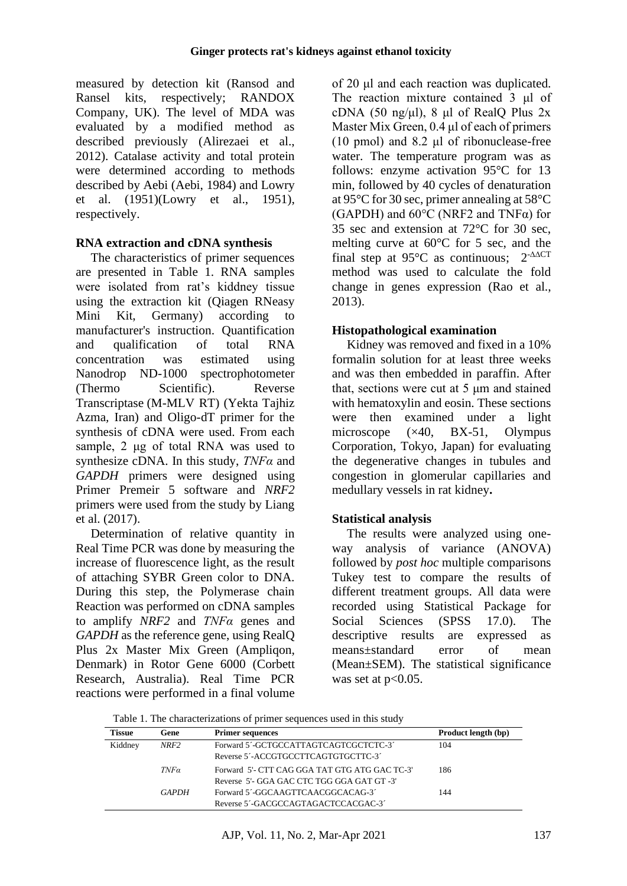measured by detection kit (Ransod and Ransel kits, respectively; RANDOX Company, UK). The level of MDA was evaluated by a modified method as described previously [\(Alirezaei et al.,](#page-9-8)  [2012\)](#page-9-8). Catalase activity and total protein were determined according to methods described by Aebi [\(Aebi, 1984\)](#page-8-2) and Lowry et al. (1951)[\(Lowry et al., 1951\)](#page-10-7), respectively.

## **RNA extraction and cDNA synthesis**

The characteristics of primer sequences are presented in Table 1. RNA samples were isolated from rat's kiddney tissue using the extraction kit (Qiagen RNeasy Mini Kit, Germany) according to manufacturer's instruction. Quantification and qualification of total RNA concentration was estimated using Nanodrop ND-1000 spectrophotometer (Thermo Scientific). Reverse Transcriptase (M-MLV RT) (Yekta Tajhiz Azma*,* Iran) and Oligo-dT primer for the synthesis of cDNA were used. From each sample, 2 μg of total RNA was used to synthesize cDNA. In this study, *TNFα* and *GAPDH* primers were designed using Primer Premeir 5 software and *NRF2* primers were used from the study by Liang et al. (2017).

Determination of relative quantity in Real Time PCR was done by measuring the increase of fluorescence light, as the result of attaching SYBR Green color to DNA. During this step, the Polymerase chain Reaction was performed on cDNA samples to amplify *NRF2* and *TNFα* genes and *GAPDH* as the reference gene, using RealQ Plus 2x Master Mix Green (Ampliqon, Denmark) in Rotor Gene 6000 (Corbett Research, Australia). Real Time PCR reactions were performed in a final volume

of 20 μl and each reaction was duplicated. The reaction mixture contained 3 μl of cDNA (50 ng/μl), 8 μl of RealO Plus  $2x$ Master Mix Green, 0.4 μl of each of primers (10 pmol) and 8.2 μl of ribonuclease-free water. The temperature program was as follows: enzyme activation 95°C for 13 min, followed by 40 cycles of denaturation at 95°C for 30 sec, primer annealing at 58°C (GAPDH) and  $60^{\circ}$ C (NRF2 and TNF $\alpha$ ) for 35 sec and extension at 72°C for 30 sec, melting curve at 60°C for 5 sec, and the final step at 95 $\degree$ C as continuous; 2<sup>- $\triangle$  $\triangle$ CT</sup> method was used to calculate the fold change in genes expression [\(Rao et al.,](#page-11-8)  [2013\)](#page-11-8).

# **Histopathological examination**

Kidney was removed and fixed in a 10% formalin solution for at least three weeks and was then embedded in paraffin. After that, sections were cut at 5 μm and stained with hematoxylin and eosin. These sections were then examined under a light microscope (×40, BX-51, Olympus Corporation, Tokyo, Japan) for evaluating the degenerative changes in tubules and congestion in glomerular capillaries and medullary vessels in rat kidney**.**

# **Statistical analysis**

The results were analyzed using oneway analysis of variance (ANOVA) followed by *post hoc* multiple comparisons Tukey test to compare the results of different treatment groups. All data were recorded using Statistical Package for Social Sciences (SPSS 17.0). The descriptive results are expressed as means±standard error of mean (Mean±SEM). The statistical significance was set at  $p<0.05$ .

|  | Table 1. The characterizations of primer sequences used in this study |  |  |  |
|--|-----------------------------------------------------------------------|--|--|--|
|  |                                                                       |  |  |  |

| <b>Tissue</b> | Gene         | <b>Primer sequences</b>                       | Product length (bp) |
|---------------|--------------|-----------------------------------------------|---------------------|
| Kiddney       | NRF2         | Forward 5'-GCTGCCATTAGTCAGTCGCTCTC-3'         | 104                 |
|               |              | Reverse 5'-ACCGTGCCTTCAGTGTGCTTC-3'           |                     |
|               | $TNF\alpha$  | Forward 5'- CTT CAG GGA TAT GTG ATG GAC TC-3' | 186                 |
|               |              | Reverse 5'- GGA GAC CTC TGG GGA GAT GT -3'    |                     |
|               | <b>GAPDH</b> | Forward 5'-GGCAAGTTCAACGGCACAG-3'             | 144                 |
|               |              | Reverse 5'-GACGCCAGTAGACTCCACGAC-3'           |                     |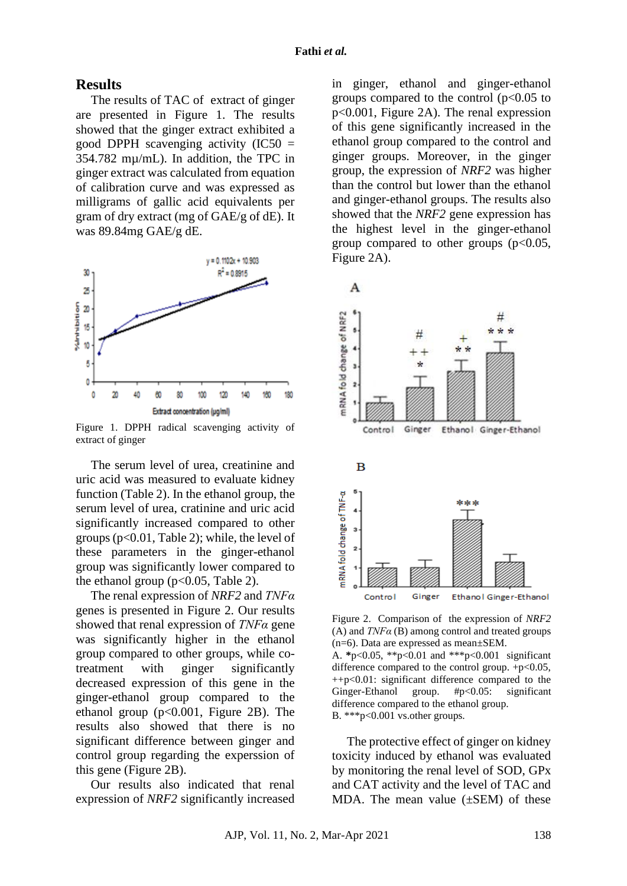#### **Results**

The results of TAC of extract of ginger are presented in Figure 1. The results showed that the ginger extract exhibited a good DPPH scavenging activity  $(IC50 =$ 354.782 mµ/mL). In addition, the TPC in ginger extract was calculated from equation of calibration curve and was expressed as milligrams of gallic acid equivalents per gram of dry extract (mg of GAE/g of dE). It was 89.84mg GAE/g dE.



Figure 1. DPPH radical scavenging activity of extract of ginger

The serum level of urea, creatinine and uric acid was measured to evaluate kidney function (Table 2). In the ethanol group, the serum level of urea, cratinine and uric acid significantly increased compared to other groups ( $p<0.01$ , Table 2); while, the level of these parameters in the ginger-ethanol group was significantly lower compared to the ethanol group ( $p<0.05$ , Table 2).

The renal expression of *NRF2* and *TNFα* genes is presented in Figure 2. Our results showed that renal expression of *TNFα* gene was significantly higher in the ethanol group compared to other groups, while cotreatment with ginger significantly decreased expression of this gene in the ginger-ethanol group compared to the ethanol group  $(p<0.001$ , Figure 2B). The results also showed that there is no significant difference between ginger and control group regarding the experssion of this gene (Figure 2B).

Our results also indicated that renal expression of *NRF2* significantly increased

in ginger, ethanol and ginger-ethanol groups compared to the control  $(p<0.05$  to p<0.001, Figure 2A). The renal expression of this gene significantly increased in the ethanol group compared to the control and ginger groups. Moreover, in the ginger group, the expression of *NRF2* was higher than the control but lower than the ethanol and ginger-ethanol groups. The results also showed that the *NRF2* gene expression has the highest level in the ginger-ethanol group compared to other groups  $(p<0.05$ , Figure 2A).



Figure 2. Comparison of the expression of *NRF2* (A) and *TNFα* (B) among control and treated groups (n=6). Data are expressed as mean±SEM.

A. **\***p<0.05, \*\*p<0.01 and \*\*\*p<0.001 significant difference compared to the control group.  $+p<0.05$ , ++p<0.01: significant difference compared to the Ginger-Ethanol group. #p<0.05: significant difference compared to the ethanol group. B. \*\*\*p<0.001 vs.other groups.

The protective effect of ginger on kidney toxicity induced by ethanol was evaluated by monitoring the renal level of SOD, GPx and CAT activity and the level of TAC and MDA. The mean value  $(\pm$ SEM) of these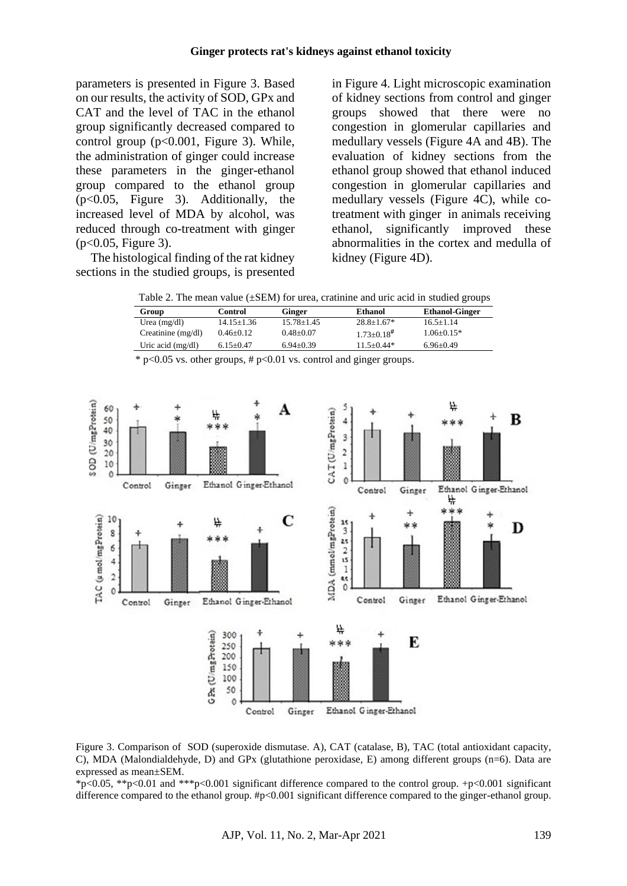parameters is presented in Figure 3. Based on our results, the activity of SOD, GPx and CAT and the level of TAC in the ethanol group significantly decreased compared to control group  $(p<0.001$ , Figure 3). While, the administration of ginger could increase these parameters in the ginger-ethanol group compared to the ethanol group (p<0.05, Figure 3). Additionally, the increased level of MDA by alcohol, was reduced through co-treatment with ginger  $(p<0.05,$  Figure 3).

The histological finding of the rat kidney sections in the studied groups, is presented in Figure 4. Light microscopic examination of kidney sections from control and ginger groups showed that there were no congestion in glomerular capillaries and medullary vessels (Figure 4A and 4B). The evaluation of kidney sections from the ethanol group showed that ethanol induced congestion in glomerular capillaries and medullary vessels (Figure 4C), while cotreatment with ginger in animals receiving ethanol, significantly improved these abnormalities in the cortex and medulla of kidney (Figure 4D).

Table 2. The mean value (±SEM) for urea, cratinine and uric acid in studied groups

| Group                | Control         | Ginger         | Ethanol                    | <b>Ethanol-Ginger</b> |
|----------------------|-----------------|----------------|----------------------------|-----------------------|
| Urea $(mg/dl)$       | $14.15 + 1.36$  | $15.78 + 1.45$ | $28.8 + 1.67*$             | $16.5 + 1.14$         |
| Creatinine $(mg/dl)$ | $0.46 + 0.12$   | $0.48 + 0.07$  | $1.73 + 0.18$ <sup>#</sup> | $1.06 + 0.15*$        |
| Uric acid $(mg/dl)$  | $6.15 \pm 0.47$ | $6.94 + 0.39$  | $11.5 + 0.44*$             | $6.96 + 0.49$         |

 $*$  p<0.05 vs. other groups, # p<0.01 vs. control and ginger groups.



Figure 3. Comparison of SOD (superoxide dismutase. A), CAT (catalase, B), TAC (total antioxidant capacity, C), MDA (Malondialdehyde, D) and GPx (glutathione peroxidase, E) among different groups (n=6). Data are expressed as mean±SEM.

\*p<0.05, \*\*p<0.01 and \*\*\*p<0.001 significant difference compared to the control group. +p<0.001 significant difference compared to the ethanol group. #p<0.001 significant difference compared to the ginger-ethanol group.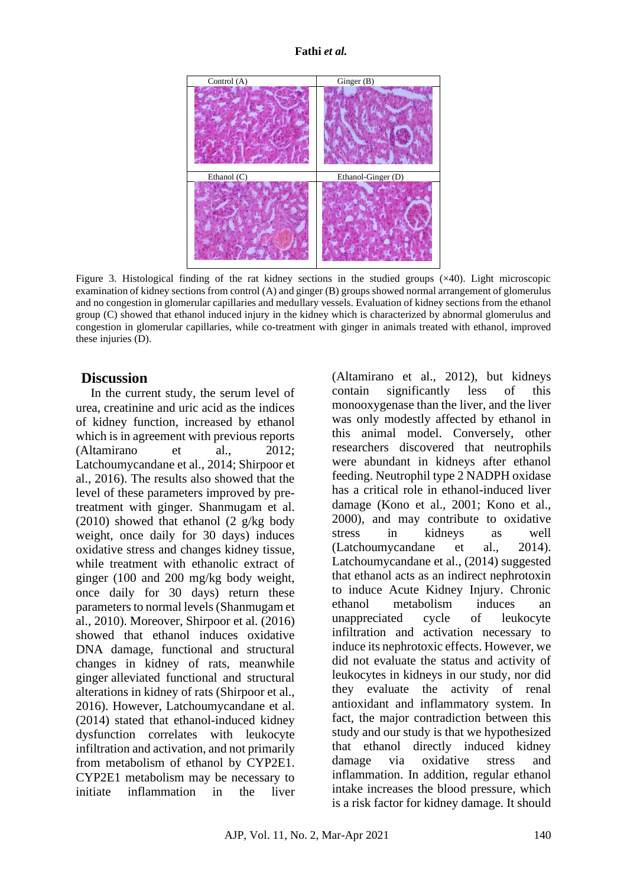#### **Fathi** *et al.*



Figure 3. Histological finding of the rat kidney sections in the studied groups  $(\times 40)$ . Light microscopic examination of kidney sections from control (A) and ginger (B) groups showed normal arrangement of glomerulus and no congestion in glomerular capillaries and medullary vessels. Evaluation of kidney sections from the ethanol group (C) showed that ethanol induced injury in the kidney which is characterized by abnormal glomerulus and congestion in glomerular capillaries, while co-treatment with ginger in animals treated with ethanol, improved these injuries (D).

# **Discussion**

In the current study, the serum level of urea, creatinine and uric acid as the indices of kidney function, increased by ethanol which is in agreement with previous reports [\(Altamirano et al., 2012;](#page-9-1) [Latchoumycandane et al., 2014;](#page-10-1) [Shirpoor et](#page-11-9)  [al., 2016\)](#page-11-9). The results also showed that the level of these parameters improved by pretreatment with ginger. [Shanmugam et al.](#page-11-7)  [\(2010\)](#page-11-7) showed that ethanol (2 g/kg body weight, once daily for 30 days) induces oxidative stress and changes kidney tissue, while treatment with ethanolic extract of ginger (100 and 200 mg/kg body weight, once daily for 30 days) return these parameters to normal levels[\(Shanmugam et](#page-11-5)  [al., 2010\)](#page-11-5). Moreover, [Shirpoor et al. \(2016\)](#page-11-10) showed that ethanol induces oxidative DNA damage, functional and structural changes in kidney of rats, meanwhile ginger alleviated functional and structural alterations in kidney of rats [\(Shirpoor et al.,](#page-11-9)  [2016\)](#page-11-9). However, Latchoumycandane et al. (2014) stated that ethanol-induced kidney dysfunction correlates with leukocyte infiltration and activation, and not primarily from metabolism of ethanol by CYP2E1. CYP2E1 metabolism may be necessary to initiate inflammation in the liver [\(Altamirano et al., 2012\)](#page-9-1), but kidneys contain significantly less of this monooxygenase than the liver, and the liver was only modestly affected by ethanol in this animal model. Conversely, other researchers discovered that neutrophils were abundant in kidneys after ethanol feeding. Neutrophil type 2 NADPH oxidase has a critical role in ethanol-induced liver damage [\(Kono et al., 2001;](#page-10-8) [Kono et al.,](#page-10-9)  [2000\)](#page-10-9), and may contribute to oxidative stress in kidneys as well [\(Latchoumycandane et al., 2014\)](#page-10-1). [Latchoumycandane et al., \(2014\)](#page-10-1) suggested that ethanol acts as an indirect nephrotoxin to induce Acute Kidney Injury. Chronic ethanol metabolism induces an unappreciated cycle of leukocyte infiltration and activation necessary to induce its nephrotoxic effects. However, we did not evaluate the status and activity of leukocytes in kidneys in our study, nor did they evaluate the activity of renal antioxidant and inflammatory system. In fact, the major contradiction between this study and our study is that we hypothesized that ethanol directly induced kidney damage via oxidative stress and inflammation. In addition, regular ethanol intake increases the blood pressure, which is a risk factor for kidney damage. It should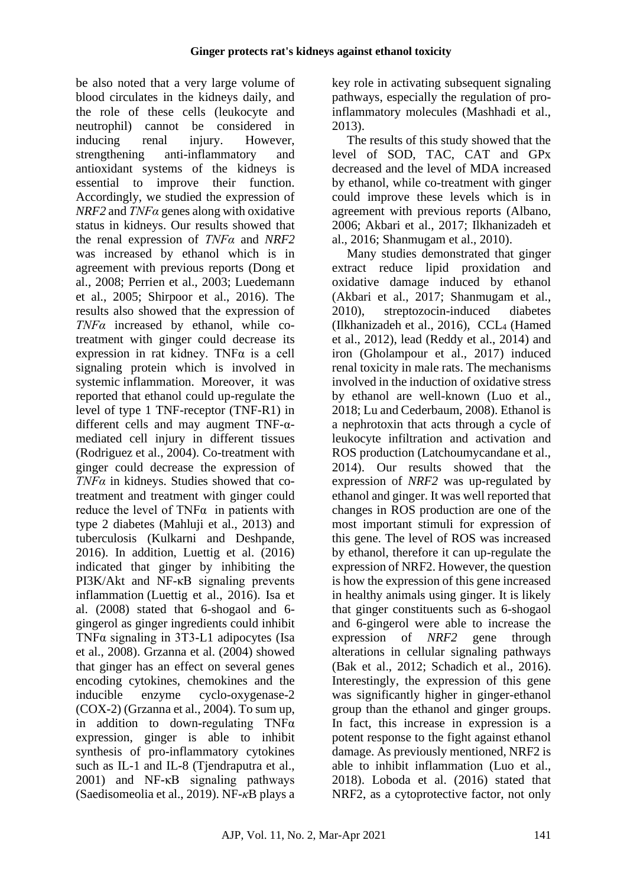be also noted that a very large volume of blood circulates in the kidneys daily, and the role of these cells (leukocyte and neutrophil) cannot be considered in inducing renal injury. However, strengthening anti-inflammatory and antioxidant systems of the kidneys is essential to improve their function. Accordingly, we studied the expression of *NRF2* and *TNFα* genes along with oxidative status in kidneys. Our results showed that the renal expression of *TNFα* and *NRF2* was increased by ethanol which is in agreement with previous reports [\(Dong et](#page-9-11)  [al., 2008;](#page-9-11) [Perrien et al., 2003;](#page-11-11) [Luedemann](#page-10-10)  [et al., 2005;](#page-10-10) [Shirpoor et al., 2016\)](#page-11-9). The results also showed that the expression of *TNFα* increased by ethanol, while cotreatment with ginger could decrease its expression in rat kidney. TNF $\alpha$  is a cell signaling protein which is involved in systemic inflammation. Moreover, it was reported that ethanol could up-regulate the level of type 1 TNF-receptor (TNF-R1) in different cells and may augment TNF-αmediated cell injury in different tissues [\(Rodriguez et al., 2004\)](#page-11-10). Co-treatment with ginger could decrease the expression of *TNFα* in kidneys. Studies showed that cotreatment and treatment with ginger could reduce the level of  $TNF\alpha$  in patients with type 2 diabetes [\(Mahluji et al., 2013\)](#page-10-11) and tuberculosis [\(Kulkarni and Deshpande,](#page-10-12)  [2016\)](#page-10-12). In addition, Luettig et al. (2016) indicated that ginger by inhibiting the PI3K/Akt and NF-κB signaling prevents inflammation [\(Luettig et al., 2016\)](#page-10-13). Isa et al. (2008) stated that 6-shogaol and 6 gingerol as ginger ingredients could inhibit TNFα signaling in 3T3-L1 adipocytes [\(Isa](#page-10-14)  [et al., 2008\)](#page-10-14). [Grzanna et al. \(2004\)](#page-9-5) showed that ginger has an effect on several genes encoding cytokines, chemokines and the inducible enzyme cyclo-oxygenase-2 (COX-2) [\(Grzanna et al., 2004\)](#page-9-12). To sum up, in addition to down-regulating  $TNF\alpha$ expression, ginger is able to inhibit synthesis of pro-inflammatory cytokines such as IL-1 and IL-8 (Tiendraputra et al., [2001\)](#page-11-12) and NF-κB signaling pathways [\(Saedisomeolia et al., 2019\)](#page-11-13). NF-*κ*B plays a

key role in activating subsequent signaling pathways, especially the regulation of proinflammatory molecules [\(Mashhadi et al.,](#page-10-15)  [2013\)](#page-10-15).

The results of this study showed that the level of SOD, TAC, CAT and GPx decreased and the level of MDA increased by ethanol, while co-treatment with ginger could improve these levels which is in agreement with previous reports [\(Albano,](#page-9-13)  [2006;](#page-9-13) [Akbari et al., 2017;](#page-9-0) [Ilkhanizadeh et](#page-9-14)  [al., 2016;](#page-9-14) [Shanmugam et al., 2010\)](#page-11-5).

Many studies demonstrated that ginger extract reduce lipid proxidation and oxidative damage induced by ethanol [\(Akbari et al., 2017;](#page-9-0) [Shanmugam et al.,](#page-11-5)  [2010\)](#page-11-5), streptozocin-induced diabetes [\(Ilkhanizadeh et al., 2016\)](#page-9-14), CCL<sup>4</sup> [\(Hamed](#page-9-7)  [et al., 2012\)](#page-9-7), lead [\(Reddy et al., 2014\)](#page-11-14) and iron [\(Gholampour et al., 2017\)](#page-9-15) induced renal toxicity in male rats. The mechanisms involved in the induction of oxidative stress by ethanol are well-known [\(Luo et al.,](#page-10-16)  [2018;](#page-10-16) [Lu and Cederbaum, 2008\)](#page-10-17). Ethanol is a nephrotoxin that acts through a cycle of leukocyte infiltration and activation and ROS production [\(Latchoumycandane et al.,](#page-10-1)  [2014\)](#page-10-1). Our results showed that the expression of *NRF2* was up-regulated by ethanol and ginger. It was well reported that changes in ROS production are one of the most important stimuli for expression of this gene. The level of ROS was increased by ethanol, therefore it can up-regulate the expression of NRF2. However, the question is how the expression of this gene increased in healthy animals using ginger. It is likely that ginger constituents such as 6-shogaol and 6-gingerol were able to increase the expression of *NRF2* gene through alterations in cellular signaling pathways [\(Bak et al., 2012;](#page-9-16) [Schadich et al., 2016\)](#page-11-15). Interestingly, the expression of this gene was significantly higher in ginger-ethanol group than the ethanol and ginger groups. In fact, this increase in expression is a potent response to the fight against ethanol damage. As previously mentioned, NRF2 is able to inhibit inflammation [\(Luo et al.,](#page-10-16)  [2018\)](#page-10-16). Loboda et al. (2016) stated that NRF2, as a cytoprotective factor, not only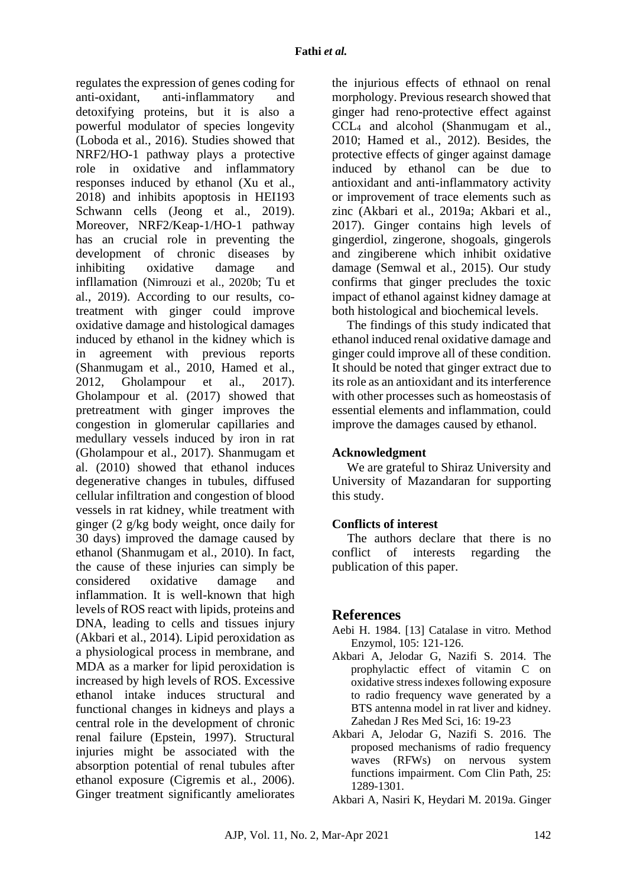regulates the expression of genes coding for anti-oxidant, anti-inflammatory and detoxifying proteins, but it is also a powerful modulator of species longevity [\(Loboda et al., 2016\)](#page-10-18). Studies showed that NRF2/HO-1 pathway plays a protective role in oxidative and inflammatory responses induced by ethanol [\(Xu et al.,](#page-11-16)  [2018\)](#page-11-16) and inhibits apoptosis in HEI193 Schwann cells [\(Jeong et al., 2019\)](#page-10-19). Moreover, NRF2/Keap-1/HO-1 pathway has an crucial role in preventing the development of chronic diseases by inhibiting oxidative damage and infllamation (Nimrouzi et al., 2020b; [Tu et](#page-11-17)  [al., 2019\)](#page-11-17). According to our results, cotreatment with ginger could improve oxidative damage and histological damages induced by ethanol in the kidney which is in agreement with previous reports [\(Shanmugam et al., 2010,](#page-11-5) [Hamed et al.,](#page-9-7)  [2012,](#page-9-7) [Gholampour et al., 2017\)](#page-9-15). [Gholampour et al. \(2017\)](#page-9-2) showed that pretreatment with ginger improves the congestion in glomerular capillaries and medullary vessels induced by iron in rat [\(Gholampour et al., 2017\)](#page-9-15). [Shanmugam et](#page-11-15)  [al. \(2010\)](#page-11-15) showed that ethanol induces degenerative changes in tubules, diffused cellular infiltration and congestion of blood vessels in rat kidney, while treatment with ginger (2 g/kg body weight, once daily for 30 days) improved the damage caused by ethanol [\(Shanmugam et al., 2010\)](#page-11-5). In fact, the cause of these injuries can simply be considered oxidative damage and inflammation. It is well-known that high levels of ROS react with lipids, proteins and DNA, leading to cells and tissues injury [\(Akbari et al., 2014\)](#page-8-3). Lipid peroxidation as a physiological process in membrane, and MDA as a marker for lipid peroxidation is increased by high levels of ROS. Excessive ethanol intake induces structural and functional changes in kidneys and plays a central role in the development of chronic renal failure [\(Epstein, 1997\)](#page-9-17). Structural injuries might be associated with the absorption potential of renal tubules after ethanol exposure [\(Cigremis et al., 2006\)](#page-9-18). Ginger treatment significantly ameliorates

the injurious effects of ethnaol on renal morphology. Previous research showed that ginger had reno-protective effect against CCL<sup>4</sup> and alcohol [\(Shanmugam et al.,](#page-11-5)  [2010;](#page-11-5) [Hamed et al., 2012\)](#page-9-7). Besides, the protective effects of ginger against damage induced by ethanol can be due to antioxidant and anti-inflammatory activity or improvement of trace elements such as zinc [\(Akbari et al., 2019a;](#page-8-1) [Akbari et al.,](#page-9-0)  [2017\)](#page-9-0). Ginger contains high levels of gingerdiol, zingerone, shogoals, gingerols and zingiberene which inhibit oxidative damage [\(Semwal et al., 2015\)](#page-11-18). Our study confirms that ginger precludes the toxic impact of ethanol against kidney damage at both histological and biochemical levels.

The findings of this study indicated that ethanol induced renal oxidative damage and ginger could improve all of these condition. It should be noted that ginger extract due to its role as an antioxidant and its interference with other processes such as homeostasis of essential elements and inflammation, could improve the damages caused by ethanol.

### **Acknowledgment**

We are grateful to Shiraz University and University of Mazandaran for supporting this study.

### **Conflicts of interest**

The authors declare that there is no conflict of interests regarding the publication of this paper.

### **References**

- <span id="page-8-3"></span><span id="page-8-2"></span>Aebi H. 1984. [13] Catalase in vitro. Method Enzymol, 105: 121-126.
- Akbari A, Jelodar G, Nazifi S. 2014. The prophylactic effect of vitamin C on oxidative stress indexes following exposure to radio frequency wave generated by a BTS antenna model in rat liver and kidney. Zahedan J Res Med Sci, 16: 19-23
- <span id="page-8-0"></span>Akbari A, Jelodar G, Nazifi S. 2016. The proposed mechanisms of radio frequency waves (RFWs) on nervous system functions impairment. Com Clin Path, 25: 1289-1301.

<span id="page-8-1"></span>Akbari A, Nasiri K, Heydari M. 2019a. Ginger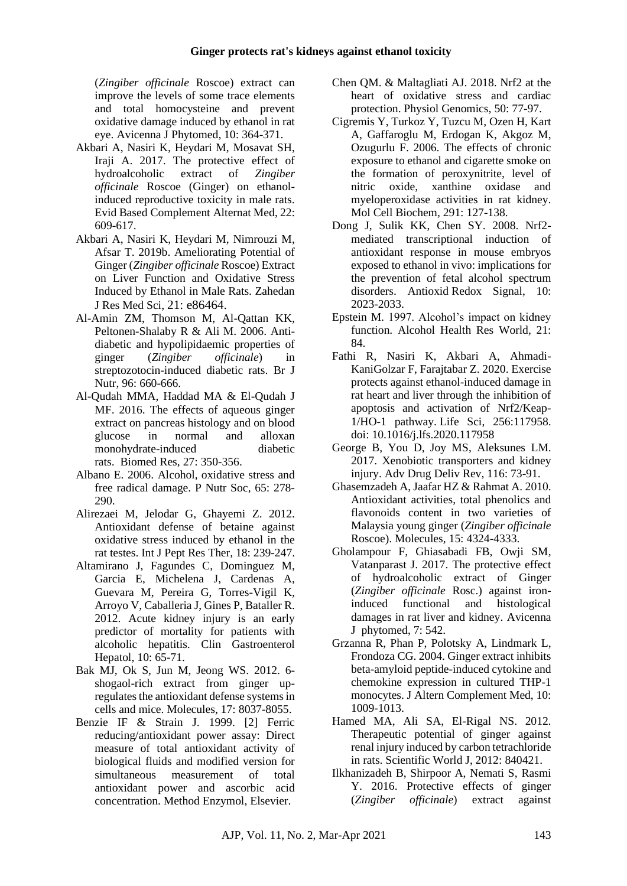(*Zingiber officinale* Roscoe) extract can improve the levels of some trace elements and total homocysteine and prevent oxidative damage induced by ethanol in rat eye. Avicenna J Phytomed, 10: 364-371.

- <span id="page-9-0"></span>Akbari A, Nasiri K, Heydari M, Mosavat SH, Iraji A. 2017. The protective effect of hydroalcoholic extract of *Zingiber officinale* Roscoe (Ginger) on ethanolinduced reproductive toxicity in male rats. Evid Based Complement Alternat Med, 22: 609-617.
- <span id="page-9-4"></span>Akbari A, Nasiri K, Heydari M, Nimrouzi M, Afsar T. 2019b. Ameliorating Potential of Ginger (*Zingiber officinale* Roscoe) Extract on Liver Function and Oxidative Stress Induced by Ethanol in Male Rats. Zahedan J Res Med Sci, 21: e86464.
- <span id="page-9-6"></span>Al-Amin ZM, Thomson M, Al-Qattan KK, Peltonen-Shalaby R & Ali M. 2006. Antidiabetic and hypolipidaemic properties of ginger (*Zingiber officinale*) in streptozotocin-induced diabetic rats. Br J Nutr, 96: 660-666.
- <span id="page-9-9"></span>Al-Qudah MMA, Haddad MA & El-Qudah J MF. 2016. The effects of aqueous ginger extract on pancreas histology and on blood glucose in normal and alloxan monohydrate-induced diabetic rats. Biomed Res, 27: 350-356.
- <span id="page-9-13"></span>Albano E. 2006. Alcohol, oxidative stress and free radical damage. P Nutr Soc, 65: 278- 290.
- <span id="page-9-8"></span>Alirezaei M, Jelodar G, Ghayemi Z. 2012. Antioxidant defense of betaine against oxidative stress induced by ethanol in the rat testes. Int J Pept Res Ther, 18: 239-247.
- <span id="page-9-1"></span>Altamirano J, Fagundes C, Dominguez M, Garcia E, Michelena J, Cardenas A, Guevara M, Pereira G, Torres-Vigil K, Arroyo V, Caballeria J, Gines P, Bataller R. 2012. Acute kidney injury is an early predictor of mortality for patients with alcoholic hepatitis. Clin Gastroenterol Hepatol, 10: 65-71.
- <span id="page-9-16"></span>Bak MJ, Ok S, Jun M, Jeong WS. 2012. 6 shogaol-rich extract from ginger upregulates the antioxidant defense systems in cells and mice. Molecules, 17: 8037-8055.
- <span id="page-9-10"></span>Benzie IF & Strain J. 1999. [2] Ferric reducing/antioxidant power assay: Direct measure of total antioxidant activity of biological fluids and modified version for simultaneous measurement of total antioxidant power and ascorbic acid concentration. Method Enzymol, Elsevier.
- <span id="page-9-3"></span>Chen QM. & Maltagliati AJ. 2018. Nrf2 at the heart of oxidative stress and cardiac protection. Physiol Genomics, 50: 77-97.
- <span id="page-9-18"></span>Cigremis Y, Turkoz Y, Tuzcu M, Ozen H, Kart A, Gaffaroglu M, Erdogan K, Akgoz M, Ozugurlu F. 2006. The effects of chronic exposure to ethanol and cigarette smoke on the formation of peroxynitrite, level of nitric oxide, xanthine oxidase and myeloperoxidase activities in rat kidney. Mol Cell Biochem, 291: 127-138.
- <span id="page-9-11"></span>Dong J, Sulik KK, Chen SY. 2008. Nrf2 mediated transcriptional induction of antioxidant response in mouse embryos exposed to ethanol in vivo: implications for the prevention of fetal alcohol spectrum disorders. Antioxid Redox Signal, 10: 2023-2033.
- <span id="page-9-17"></span>Epstein M. 1997. Alcohol's impact on kidney function. Alcohol Health Res World*,* 21: 84.
- Fathi R, Nasiri K, Akbari A, Ahmadi-KaniGolzar F, Farajtabar Z. 2020. Exercise protects against ethanol-induced damage in rat heart and liver through the inhibition of apoptosis and activation of Nrf2/Keap-1/HO-1 pathway. Life Sci, 256:117958. doi: 10.1016/j.lfs.2020.117958
- <span id="page-9-2"></span>George B, You D, Joy MS, Aleksunes LM. 2017. Xenobiotic transporters and kidney injury. Adv Drug Deliv Rev, 116: 73-91.
- <span id="page-9-5"></span>Ghasemzadeh A, Jaafar HZ & Rahmat A. 2010. Antioxidant activities, total phenolics and flavonoids content in two varieties of Malaysia young ginger (*Zingiber officinale*  Roscoe). Molecules*,* 15: 4324-4333.
- <span id="page-9-15"></span>Gholampour F, Ghiasabadi FB, Owji SM, Vatanparast J. 2017. The protective effect of hydroalcoholic extract of Ginger (*Zingiber officinale* Rosc.) against ironinduced functional and histological damages in rat liver and kidney. Avicenna J phytomed, 7: 542.
- <span id="page-9-12"></span>Grzanna R, Phan P, Polotsky A, Lindmark L, Frondoza CG. 2004. Ginger extract inhibits beta-amyloid peptide-induced cytokine and chemokine expression in cultured THP-1 monocytes. J Altern Complement Med, 10: 1009-1013.
- <span id="page-9-7"></span>Hamed MA, Ali SA, El-Rigal NS. 2012. Therapeutic potential of ginger against renal injury induced by carbon tetrachloride in rats. Scientific World J, 2012: 840421.
- <span id="page-9-14"></span>Ilkhanizadeh B, Shirpoor A, Nemati S, Rasmi Y. 2016. Protective effects of ginger (*Zingiber officinale*) extract against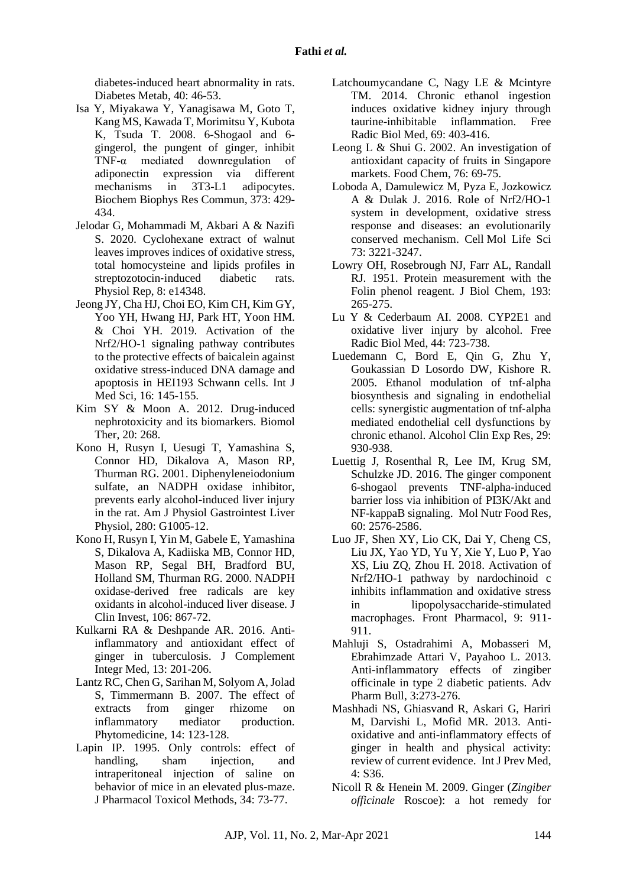diabetes-induced heart abnormality in rats. Diabetes Metab, 40: 46-53.

- <span id="page-10-14"></span>Isa Y, Miyakawa Y, Yanagisawa M, Goto T, Kang MS, Kawada T, Morimitsu Y, Kubota K, Tsuda T. 2008. 6-Shogaol and 6 gingerol, the pungent of ginger, inhibit TNF-α mediated downregulation of adiponectin expression via different mechanisms in 3T3-L1 adipocytes. Biochem Biophys Res Commun*,* 373: 429- 434.
- <span id="page-10-2"></span>Jelodar G, Mohammadi M, Akbari A & Nazifi S. 2020. Cyclohexane extract of walnut leaves improves indices of oxidative stress, total homocysteine and lipids profiles in streptozotocin-induced diabetic rats. Physiol Rep, 8: e14348.
- <span id="page-10-19"></span>Jeong JY, Cha HJ, Choi EO, Kim CH, Kim GY, Yoo YH, Hwang HJ, Park HT, Yoon HM. & Choi YH. 2019. Activation of the Nrf2/HO-1 signaling pathway contributes to the protective effects of baicalein against oxidative stress-induced DNA damage and apoptosis in HEI193 Schwann cells. Int J Med Sci*,* 16: 145-155.
- <span id="page-10-0"></span>Kim SY & Moon A. 2012. Drug-induced nephrotoxicity and its biomarkers. Biomol Ther, 20: 268.
- <span id="page-10-8"></span>Kono H, Rusyn I, Uesugi T, Yamashina S, Connor HD, Dikalova A, Mason RP, Thurman RG. 2001. Diphenyleneiodonium sulfate, an NADPH oxidase inhibitor, prevents early alcohol-induced liver injury in the rat. Am J Physiol Gastrointest Liver Physiol, 280: G1005-12.
- <span id="page-10-9"></span>Kono H, Rusyn I, Yin M, Gabele E, Yamashina S, Dikalova A, Kadiiska MB, Connor HD, Mason RP, Segal BH, Bradford BU, Holland SM, Thurman RG. 2000. NADPH oxidase-derived free radicals are key oxidants in alcohol-induced liver disease. J Clin Invest, 106: 867-72.
- <span id="page-10-12"></span>Kulkarni RA & Deshpande AR. 2016. Antiinflammatory and antioxidant effect of ginger in tuberculosis. J Complement Integr Med, 13: 201-206.
- <span id="page-10-4"></span>Lantz RC, Chen G, Sarihan M, Solyom A, Jolad S, Timmermann B. 2007. The effect of extracts from ginger rhizome on inflammatory mediator production. Phytomedicine*,* 14: 123-128.
- <span id="page-10-6"></span>Lapin IP. 1995. Only controls: effect of handling, sham injection, and intraperitoneal injection of saline on behavior of mice in an elevated plus-maze. J Pharmacol Toxicol Methods, 34: 73-77.
- <span id="page-10-1"></span>Latchoumycandane C, Nagy LE & Mcintyre TM. 2014. Chronic ethanol ingestion induces oxidative kidney injury through taurine-inhibitable inflammation. Free Radic Biol Med, 69: 403-416.
- <span id="page-10-5"></span>Leong L & Shui G. 2002. An investigation of antioxidant capacity of fruits in Singapore markets. Food Chem, 76: 69-75.
- <span id="page-10-18"></span>Loboda A, Damulewicz M, Pyza E, Jozkowicz A & Dulak J. 2016. Role of Nrf2/HO-1 system in development, oxidative stress response and diseases: an evolutionarily conserved mechanism. Cell Mol Life Sci 73: 3221-3247.
- <span id="page-10-7"></span>Lowry OH, Rosebrough NJ, Farr AL, Randall RJ. 1951. Protein measurement with the Folin phenol reagent. J Biol Chem, 193: 265-275.
- <span id="page-10-17"></span>Lu Y & Cederbaum AI. 2008. CYP2E1 and oxidative liver injury by alcohol. Free Radic Biol Med, 44: 723-738.
- <span id="page-10-10"></span>Luedemann C, Bord E, Qin G, Zhu Y, Goukassian D Losordo DW, Kishore R. 2005. Ethanol modulation of tnf‐alpha biosynthesis and signaling in endothelial cells: synergistic augmentation of tnf‐alpha mediated endothelial cell dysfunctions by chronic ethanol. Alcohol Clin Exp Res, 29: 930-938.
- <span id="page-10-13"></span>Luettig J, Rosenthal R, Lee IM, Krug SM, Schulzke JD. 2016. The ginger component 6-shogaol prevents TNF-alpha-induced barrier loss via inhibition of PI3K/Akt and NF-kappaB signaling. Mol Nutr Food Res*,* 60: 2576-2586.
- <span id="page-10-16"></span>Luo JF, Shen XY, Lio CK, Dai Y, Cheng CS, Liu JX, Yao YD, Yu Y, Xie Y, Luo P, Yao XS, Liu ZQ, Zhou H. 2018. Activation of Nrf2/HO-1 pathway by nardochinoid c inhibits inflammation and oxidative stress in lipopolysaccharide-stimulated macrophages. Front Pharmacol, 9: 911- 911.
- <span id="page-10-11"></span>Mahluji S, Ostadrahimi A, Mobasseri M, Ebrahimzade Attari V, Payahoo L. 2013. Anti-inflammatory effects of zingiber officinale in type 2 diabetic patients. Adv Pharm Bull, 3:273-276.
- <span id="page-10-15"></span>Mashhadi NS, Ghiasvand R, Askari G, Hariri M, Darvishi L, Mofid MR. 2013. Antioxidative and anti-inflammatory effects of ginger in health and physical activity: review of current evidence. Int J Prev Med, 4: S36.
- <span id="page-10-3"></span>Nicoll R & Henein M. 2009. Ginger (*Zingiber officinale* Roscoe): a hot remedy for